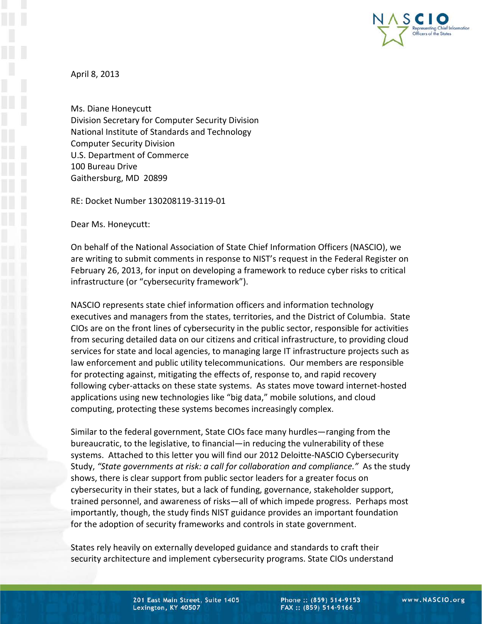

April 8, 2013

Ms. Diane Honeycutt Division Secretary for Computer Security Division National Institute of Standards and Technology Computer Security Division U.S. Department of Commerce 100 Bureau Drive Gaithersburg, MD 20899

RE: Docket Number 130208119-3119-01

Dear Ms. Honeycutt:

On behalf of the National Association of State Chief Information Officers (NASCIO), we are writing to submit comments in response to NIST's request in the Federal Register on February 26, 2013, for input on developing a framework to reduce cyber risks to critical infrastructure (or "cybersecurity framework").

NASCIO represents state chief information officers and information technology executives and managers from the states, territories, and the District of Columbia. State CIOs are on the front lines of cybersecurity in the public sector, responsible for activities from securing detailed data on our citizens and critical infrastructure, to providing cloud services for state and local agencies, to managing large IT infrastructure projects such as law enforcement and public utility telecommunications. Our members are responsible for protecting against, mitigating the effects of, response to, and rapid recovery following cyber-attacks on these state systems. As states move toward internet-hosted applications using new technologies like "big data," mobile solutions, and cloud computing, protecting these systems becomes increasingly complex.

Similar to the federal government, State CIOs face many hurdles—ranging from the bureaucratic, to the legislative, to financial—in reducing the vulnerability of these systems. Attached to this letter you will find our 2012 Deloitte-NASCIO Cybersecurity Study, *"State governments at risk: a call for collaboration and compliance."* As the study shows, there is clear support from public sector leaders for a greater focus on cybersecurity in their states, but a lack of funding, governance, stakeholder support, trained personnel, and awareness of risks—all of which impede progress. Perhaps most importantly, though, the study finds NIST guidance provides an important foundation for the adoption of security frameworks and controls in state government.

States rely heavily on externally developed guidance and standards to craft their security architecture and implement cybersecurity programs. State CIOs understand

Phone:: (859) 514-9153 FAX:: (859) 514-9166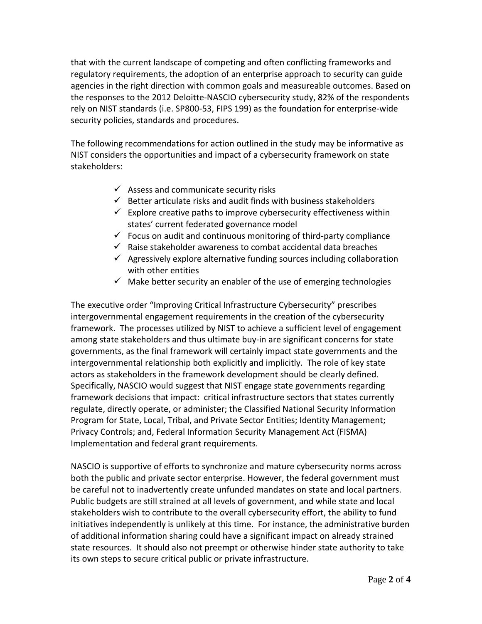that with the current landscape of competing and often conflicting frameworks and regulatory requirements, the adoption of an enterprise approach to security can guide agencies in the right direction with common goals and measureable outcomes. Based on the responses to the 2012 Deloitte-NASCIO cybersecurity study, 82% of the respondents rely on NIST standards (i.e. SP800-53, FIPS 199) as the foundation for enterprise-wide security policies, standards and procedures.

The following recommendations for action outlined in the study may be informative as NIST considers the opportunities and impact of a cybersecurity framework on state stakeholders:

- $\checkmark$  Assess and communicate security risks
- $\checkmark$  Better articulate risks and audit finds with business stakeholders
- $\checkmark$  Explore creative paths to improve cybersecurity effectiveness within states' current federated governance model
- $\checkmark$  Focus on audit and continuous monitoring of third-party compliance
- $\checkmark$  Raise stakeholder awareness to combat accidental data breaches
- $\checkmark$  Agressively explore alternative funding sources including collaboration with other entities
- $\checkmark$  Make better security an enabler of the use of emerging technologies

The executive order "Improving Critical Infrastructure Cybersecurity" prescribes intergovernmental engagement requirements in the creation of the cybersecurity framework. The processes utilized by NIST to achieve a sufficient level of engagement among state stakeholders and thus ultimate buy-in are significant concerns for state governments, as the final framework will certainly impact state governments and the intergovernmental relationship both explicitly and implicitly. The role of key state actors as stakeholders in the framework development should be clearly defined. Specifically, NASCIO would suggest that NIST engage state governments regarding framework decisions that impact: critical infrastructure sectors that states currently regulate, directly operate, or administer; the Classified National Security Information Program for State, Local, Tribal, and Private Sector Entities; Identity Management; Privacy Controls; and, Federal Information Security Management Act (FISMA) Implementation and federal grant requirements.

NASCIO is supportive of efforts to synchronize and mature cybersecurity norms across both the public and private sector enterprise. However, the federal government must be careful not to inadvertently create unfunded mandates on state and local partners. Public budgets are still strained at all levels of government, and while state and local stakeholders wish to contribute to the overall cybersecurity effort, the ability to fund initiatives independently is unlikely at this time. For instance, the administrative burden of additional information sharing could have a significant impact on already strained state resources. It should also not preempt or otherwise hinder state authority to take its own steps to secure critical public or private infrastructure.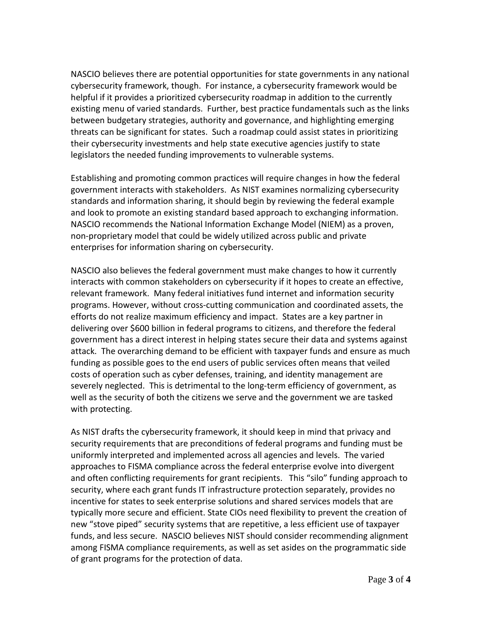NASCIO believes there are potential opportunities for state governments in any national cybersecurity framework, though. For instance, a cybersecurity framework would be helpful if it provides a prioritized cybersecurity roadmap in addition to the currently existing menu of varied standards. Further, best practice fundamentals such as the links between budgetary strategies, authority and governance, and highlighting emerging threats can be significant for states. Such a roadmap could assist states in prioritizing their cybersecurity investments and help state executive agencies justify to state legislators the needed funding improvements to vulnerable systems.

Establishing and promoting common practices will require changes in how the federal government interacts with stakeholders. As NIST examines normalizing cybersecurity standards and information sharing, it should begin by reviewing the federal example and look to promote an existing standard based approach to exchanging information. NASCIO recommends the National Information Exchange Model (NIEM) as a proven, non-proprietary model that could be widely utilized across public and private enterprises for information sharing on cybersecurity.

NASCIO also believes the federal government must make changes to how it currently interacts with common stakeholders on cybersecurity if it hopes to create an effective, relevant framework. Many federal initiatives fund internet and information security programs. However, without cross-cutting communication and coordinated assets, the efforts do not realize maximum efficiency and impact. States are a key partner in delivering over \$600 billion in federal programs to citizens, and therefore the federal government has a direct interest in helping states secure their data and systems against attack. The overarching demand to be efficient with taxpayer funds and ensure as much funding as possible goes to the end users of public services often means that veiled costs of operation such as cyber defenses, training, and identity management are severely neglected. This is detrimental to the long-term efficiency of government, as well as the security of both the citizens we serve and the government we are tasked with protecting.

As NIST drafts the cybersecurity framework, it should keep in mind that privacy and security requirements that are preconditions of federal programs and funding must be uniformly interpreted and implemented across all agencies and levels. The varied approaches to FISMA compliance across the federal enterprise evolve into divergent and often conflicting requirements for grant recipients. This "silo" funding approach to security, where each grant funds IT infrastructure protection separately, provides no incentive for states to seek enterprise solutions and shared services models that are typically more secure and efficient. State CIOs need flexibility to prevent the creation of new "stove piped" security systems that are repetitive, a less efficient use of taxpayer funds, and less secure. NASCIO believes NIST should consider recommending alignment among FISMA compliance requirements, as well as set asides on the programmatic side of grant programs for the protection of data.